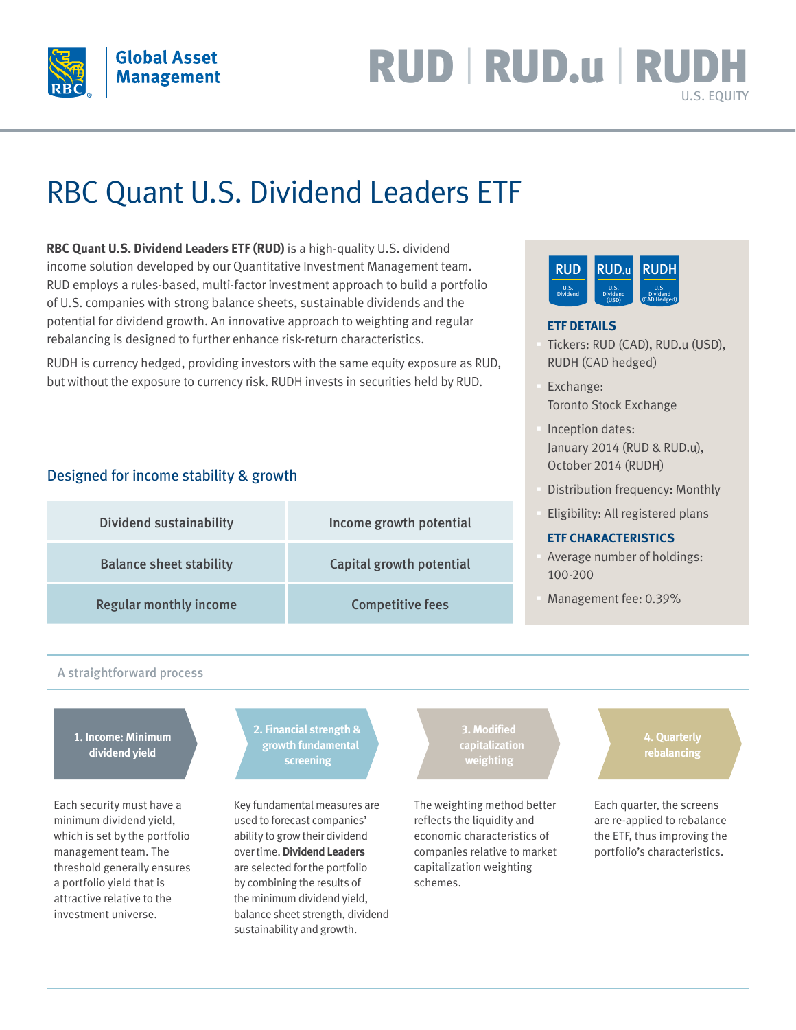

## RUD | RUD.u | RUDH U.S. EQUITY

# RBC Quant U.S. Dividend Leaders ETF

**RBC Quant U.S. Dividend Leaders ETF (RUD)** is a high-quality U.S. dividend income solution developed by our Quantitative Investment Management team. RUD employs a rules-based, multi-factor investment approach to build a portfolio of U.S. companies with strong balance sheets, sustainable dividends and the potential for dividend growth. An innovative approach to weighting and regular rebalancing is designed to further enhance risk-return characteristics.

RUDH is currency hedged, providing investors with the same equity exposure as RUD, but without the exposure to currency risk. RUDH invests in securities held by RUD.

#### Designed for income stability & growth

| <b>Dividend sustainability</b> | Income growth potential  |
|--------------------------------|--------------------------|
| <b>Balance sheet stability</b> | Capital growth potential |
| <b>Regular monthly income</b>  | <b>Competitive fees</b>  |



#### **ETF DETAILS**

- § Tickers: RUD (CAD), RUD.u (USD), RUDH (CAD hedged)
- § Exchange: Toronto Stock Exchange
- § Inception dates: January 2014 (RUD & RUD.u), October 2014 (RUDH)
- § Distribution frequency: Monthly
- § Eligibility: All registered plans

#### **ETF CHARACTERISTICS**

- § Average number of holdings: 100-200
- § Management fee: 0.39%

#### A straightforward process

#### **1. Income: Minimum dividend yield**

Each security must have a minimum dividend yield, which is set by the portfolio management team. The threshold generally ensures a portfolio yield that is attractive relative to the investment universe.

**2. Financial strength & growth fundamental screening**

Key fundamental measures are used to forecast companies' ability to grow their dividend over time. **Dividend Leaders** are selected for the portfolio by combining the results of the minimum dividend yield, balance sheet strength, dividend sustainability and growth.

**capitalization weighting**

The weighting method better reflects the liquidity and economic characteristics of companies relative to market capitalization weighting schemes.

**4. Quarterly rebalancing**

Each quarter, the screens are re-applied to rebalance the ETF, thus improving the portfolio's characteristics.